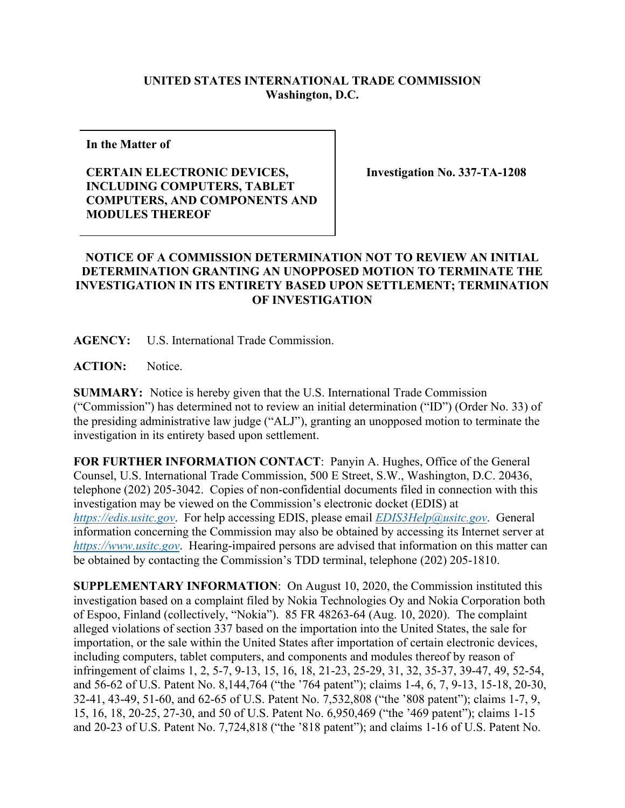## **UNITED STATES INTERNATIONAL TRADE COMMISSION Washington, D.C.**

**In the Matter of** 

## **CERTAIN ELECTRONIC DEVICES, INCLUDING COMPUTERS, TABLET COMPUTERS, AND COMPONENTS AND MODULES THEREOF**

**Investigation No. 337-TA-1208**

## **NOTICE OF A COMMISSION DETERMINATION NOT TO REVIEW AN INITIAL DETERMINATION GRANTING AN UNOPPOSED MOTION TO TERMINATE THE INVESTIGATION IN ITS ENTIRETY BASED UPON SETTLEMENT; TERMINATION OF INVESTIGATION**

**AGENCY:** U.S. International Trade Commission.

**ACTION:** Notice.

**SUMMARY:** Notice is hereby given that the U.S. International Trade Commission ("Commission") has determined not to review an initial determination ("ID") (Order No. 33) of the presiding administrative law judge ("ALJ"), granting an unopposed motion to terminate the investigation in its entirety based upon settlement.

**FOR FURTHER INFORMATION CONTACT**: Panyin A. Hughes, Office of the General Counsel, U.S. International Trade Commission, 500 E Street, S.W., Washington, D.C. 20436, telephone (202) 205-3042. Copies of non-confidential documents filed in connection with this investigation may be viewed on the Commission's electronic docket (EDIS) at *[https://edis.usitc.gov](https://edis.usitc.gov/)*. For help accessing EDIS, please email *[EDIS3Help@usitc.gov](mailto:EDIS3Help@usitc.gov)*. General information concerning the Commission may also be obtained by accessing its Internet server at *[https://www.usitc.gov](https://www.usitc.gov/)*. Hearing-impaired persons are advised that information on this matter can be obtained by contacting the Commission's TDD terminal, telephone (202) 205-1810.

**SUPPLEMENTARY INFORMATION**: On August 10, 2020, the Commission instituted this investigation based on a complaint filed by Nokia Technologies Oy and Nokia Corporation both of Espoo, Finland (collectively, "Nokia"). 85 FR 48263-64 (Aug. 10, 2020). The complaint alleged violations of section 337 based on the importation into the United States, the sale for importation, or the sale within the United States after importation of certain electronic devices, including computers, tablet computers, and components and modules thereof by reason of infringement of claims 1, 2, 5-7, 9-13, 15, 16, 18, 21-23, 25-29, 31, 32, 35-37, 39-47, 49, 52-54, and 56-62 of U.S. Patent No. 8,144,764 ("the '764 patent"); claims 1-4, 6, 7, 9-13, 15-18, 20-30, 32-41, 43-49, 51-60, and 62-65 of U.S. Patent No. 7,532,808 ("the '808 patent"); claims 1-7, 9, 15, 16, 18, 20-25, 27-30, and 50 of U.S. Patent No. 6,950,469 ("the '469 patent"); claims 1-15 and 20-23 of U.S. Patent No. 7,724,818 ("the '818 patent"); and claims 1-16 of U.S. Patent No.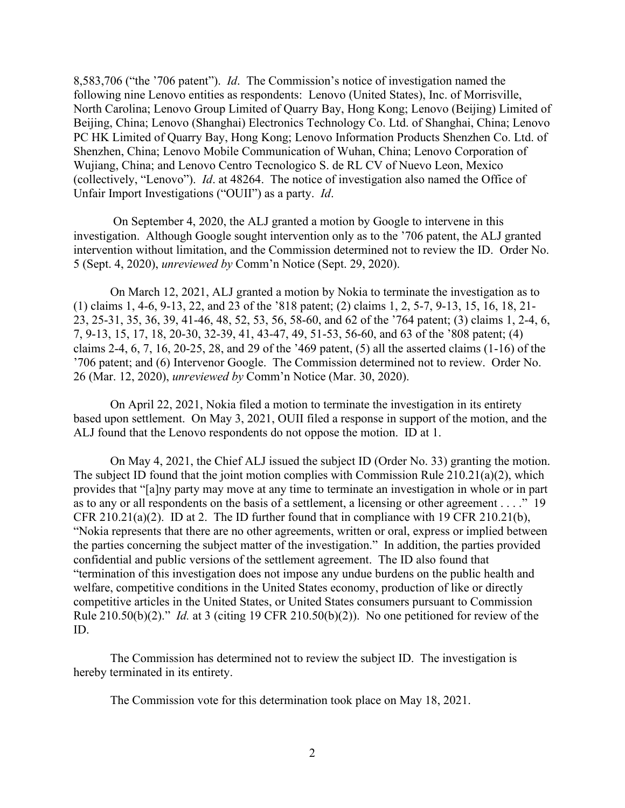8,583,706 ("the '706 patent"). *Id*. The Commission's notice of investigation named the following nine Lenovo entities as respondents: Lenovo (United States), Inc. of Morrisville, North Carolina; Lenovo Group Limited of Quarry Bay, Hong Kong; Lenovo (Beijing) Limited of Beijing, China; Lenovo (Shanghai) Electronics Technology Co. Ltd. of Shanghai, China; Lenovo PC HK Limited of Quarry Bay, Hong Kong; Lenovo Information Products Shenzhen Co. Ltd. of Shenzhen, China; Lenovo Mobile Communication of Wuhan, China; Lenovo Corporation of Wujiang, China; and Lenovo Centro Tecnologico S. de RL CV of Nuevo Leon, Mexico (collectively, "Lenovo"). *Id*. at 48264. The notice of investigation also named the Office of Unfair Import Investigations ("OUII") as a party. *Id*.

On September 4, 2020, the ALJ granted a motion by Google to intervene in this investigation. Although Google sought intervention only as to the '706 patent, the ALJ granted intervention without limitation, and the Commission determined not to review the ID. Order No. 5 (Sept. 4, 2020), *unreviewed by* Comm'n Notice (Sept. 29, 2020).

On March 12, 2021, ALJ granted a motion by Nokia to terminate the investigation as to (1) claims 1, 4-6, 9-13, 22, and 23 of the '818 patent; (2) claims 1, 2, 5-7, 9-13, 15, 16, 18, 21- 23, 25-31, 35, 36, 39, 41-46, 48, 52, 53, 56, 58-60, and 62 of the '764 patent; (3) claims 1, 2-4, 6, 7, 9-13, 15, 17, 18, 20-30, 32-39, 41, 43-47, 49, 51-53, 56-60, and 63 of the '808 patent; (4) claims 2-4, 6, 7, 16, 20-25, 28, and 29 of the '469 patent, (5) all the asserted claims (1-16) of the '706 patent; and (6) Intervenor Google. The Commission determined not to review. Order No. 26 (Mar. 12, 2020), *unreviewed by* Comm'n Notice (Mar. 30, 2020).

On April 22, 2021, Nokia filed a motion to terminate the investigation in its entirety based upon settlement. On May 3, 2021, OUII filed a response in support of the motion, and the ALJ found that the Lenovo respondents do not oppose the motion. ID at 1.

On May 4, 2021, the Chief ALJ issued the subject ID (Order No. 33) granting the motion. The subject ID found that the joint motion complies with Commission Rule 210.21(a)(2), which provides that "[a]ny party may move at any time to terminate an investigation in whole or in part as to any or all respondents on the basis of a settlement, a licensing or other agreement . . . ." 19 CFR 210.21(a)(2). ID at 2. The ID further found that in compliance with 19 CFR 210.21(b), "Nokia represents that there are no other agreements, written or oral, express or implied between the parties concerning the subject matter of the investigation." In addition, the parties provided confidential and public versions of the settlement agreement. The ID also found that "termination of this investigation does not impose any undue burdens on the public health and welfare, competitive conditions in the United States economy, production of like or directly competitive articles in the United States, or United States consumers pursuant to Commission Rule 210.50(b)(2)." *Id.* at 3 (citing 19 CFR 210.50(b)(2)). No one petitioned for review of the ID.

The Commission has determined not to review the subject ID. The investigation is hereby terminated in its entirety.

The Commission vote for this determination took place on May 18, 2021.